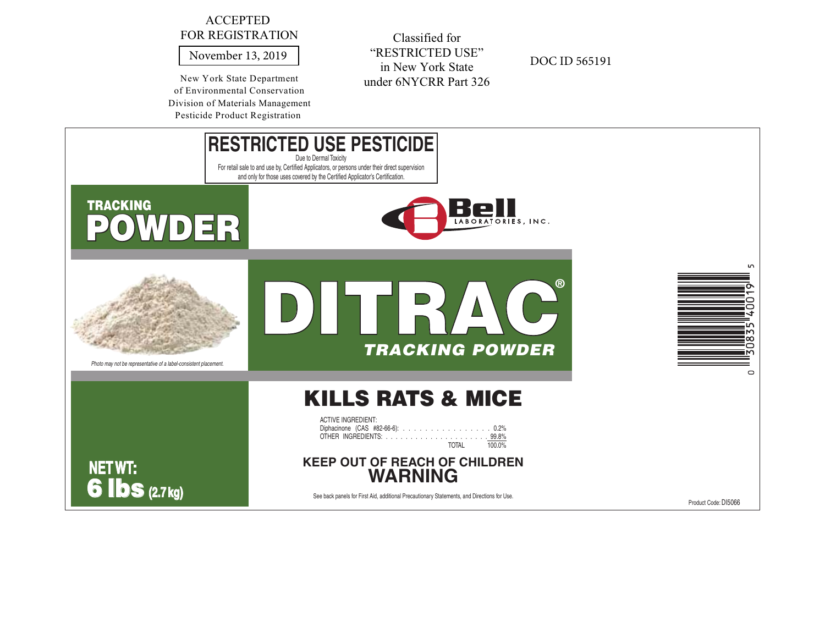## ACCEPTED FOR REGISTRATION

November 13, 2019

New York State Department of Environmental Conservation Division of Materials ManagementPesticide Product Registration

Classified for "RESTRICTED USE"in New York Stateunder 6NYCRR Part 326

DOC ID 565191



Product Code: DI5066